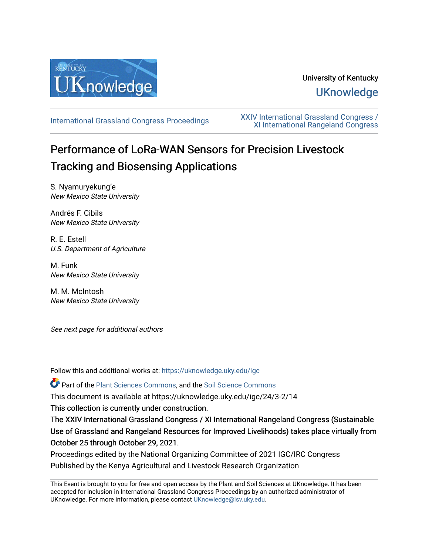

## University of Kentucky **UKnowledge**

[International Grassland Congress Proceedings](https://uknowledge.uky.edu/igc) [XXIV International Grassland Congress /](https://uknowledge.uky.edu/igc/24)  [XI International Rangeland Congress](https://uknowledge.uky.edu/igc/24) 

# Performance of LoRa-WAN Sensors for Precision Livestock Tracking and Biosensing Applications

S. Nyamuryekung'e New Mexico State University

Andrés F. Cibils New Mexico State University

R. E. Estell U.S. Department of Agriculture

M. Funk New Mexico State University

M. M. McIntosh New Mexico State University

See next page for additional authors

Follow this and additional works at: [https://uknowledge.uky.edu/igc](https://uknowledge.uky.edu/igc?utm_source=uknowledge.uky.edu%2Figc%2F24%2F3-2%2F14&utm_medium=PDF&utm_campaign=PDFCoverPages) 

Part of the [Plant Sciences Commons](http://network.bepress.com/hgg/discipline/102?utm_source=uknowledge.uky.edu%2Figc%2F24%2F3-2%2F14&utm_medium=PDF&utm_campaign=PDFCoverPages), and the [Soil Science Commons](http://network.bepress.com/hgg/discipline/163?utm_source=uknowledge.uky.edu%2Figc%2F24%2F3-2%2F14&utm_medium=PDF&utm_campaign=PDFCoverPages) 

This document is available at https://uknowledge.uky.edu/igc/24/3-2/14

This collection is currently under construction.

The XXIV International Grassland Congress / XI International Rangeland Congress (Sustainable Use of Grassland and Rangeland Resources for Improved Livelihoods) takes place virtually from October 25 through October 29, 2021.

Proceedings edited by the National Organizing Committee of 2021 IGC/IRC Congress Published by the Kenya Agricultural and Livestock Research Organization

This Event is brought to you for free and open access by the Plant and Soil Sciences at UKnowledge. It has been accepted for inclusion in International Grassland Congress Proceedings by an authorized administrator of UKnowledge. For more information, please contact [UKnowledge@lsv.uky.edu](mailto:UKnowledge@lsv.uky.edu).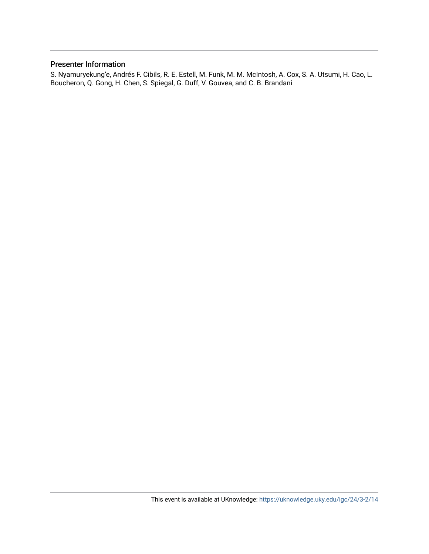#### Presenter Information

S. Nyamuryekung'e, Andrés F. Cibils, R. E. Estell, M. Funk, M. M. McIntosh, A. Cox, S. A. Utsumi, H. Cao, L. Boucheron, Q. Gong, H. Chen, S. Spiegal, G. Duff, V. Gouvea, and C. B. Brandani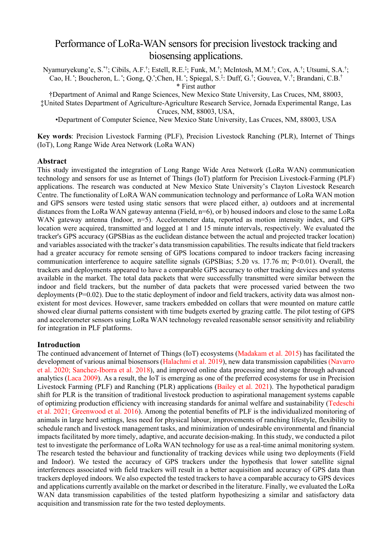### Performance of LoRa-WAN sensors for precision livestock tracking and biosensing applications.

Nyamuryekung'e, S.\*†; Cibils, A.F.†; Estell, R.E.‡; Funk, M.†; McIntosh, M.M.†; Cox, A.†; Utsumi, S.A.†; Cao, H. •; Boucheron, L. •; Gong, Q.•;Chen, H. •; Spiegal, S.‡: Duff, G.†; Gouvea, V.†; Brandani, C.B.† \* First author

†Department of Animal and Range Sciences, New Mexico State University, Las Cruces, NM, 88003, ‡United States Department of Agriculture-Agriculture Research Service, Jornada Experimental Range, Las Cruces, NM, 88003, USA,

•Department of Computer Science, New Mexico State University, Las Cruces, NM, 88003, USA

**Key words**: Precision Livestock Farming (PLF), Precision Livestock Ranching (PLR), Internet of Things (IoT), Long Range Wide Area Network (LoRa WAN)

#### **Abstract**

This study investigated the integration of Long Range Wide Area Network (LoRa WAN) communication technology and sensors for use as Internet of Things (IoT) platform for Precision Livestock-Farming (PLF) applications. The research was conducted at New Mexico State University's Clayton Livestock Research Centre. The functionality of LoRA WAN communication technology and performance of LoRa WAN motion and GPS sensors were tested using static sensors that were placed either, a) outdoors and at incremental distances from the LoRa WAN gateway antenna (Field, n=6), or b) housed indoors and close to the same LoRa WAN gateway antenna (Indoor, n=5). Accelerometer data, reported as motion intensity index, and GPS location were acquired, transmitted and logged at 1 and 15 minute intervals, respectively. We evaluated the tracker's GPS accuracy (GPSBias as the euclidean distance between the actual and projected tracker location) and variables associated with the tracker's data transmission capabilities. The results indicate that field trackers had a greater accuracy for remote sensing of GPS locations compared to indoor trackers facing increasing communication interference to acquire satellite signals (GPSBias; 5.20 vs. 17.76 m; P<0.01). Overall, the trackers and deployments appeared to have a comparable GPS accuracy to other tracking devices and systems available in the market. The total data packets that were successfully transmitted were similar between the indoor and field trackers, but the number of data packets that were processed varied between the two deployments  $(P=0.02)$ . Due to the static deployment of indoor and field trackers, activity data was almost nonexistent for most devices. However, same trackers embedded on collars that were mounted on mature cattle showed clear diurnal patterns consistent with time budgets exerted by grazing cattle. The pilot testing of GPS and accelerometer sensors using LoRa WAN technology revealed reasonable sensor sensitivity and reliability for integration in PLF platforms.

#### **Introduction**

The continued advancement of Internet of Things (IoT) ecosystems (Madakam et al. 2015) has facilitated the development of various animal biosensors (Halachmi et al. 2019), new data transmission capabilities (Navarro et al. 2020; Sanchez-Iborra et al. 2018), and improved online data processing and storage through advanced analytics (Laca 2009). As a result, the IoT is emerging as one of the preferred ecosystems for use in Precision Livestock Farming (PLF) and Ranching (PLR) applications (Bailey et al. 2021). The hypothetical paradigm shift for PLR is the transition of traditional livestock production to aspirational management systems capable of optimizing production efficiency with increasing standards for animal welfare and sustainability (Tedeschi et al. 2021; Greenwood et al. 2016). Among the potential benefits of PLF is the individualized monitoring of animals in large herd settings, less need for physical labour, improvements of ranching lifestyle, flexibility to schedule ranch and livestock management tasks, and minimization of undesirable environmental and financial impacts facilitated by more timely, adaptive, and accurate decision-making. In this study, we conducted a pilot test to investigate the performance of LoRa WAN technology for use as a real-time animal monitoring system. The research tested the behaviour and functionality of tracking devices while using two deployments (Field and Indoor). We tested the accuracy of GPS trackers under the hypothesis that lower satellite signal interferences associated with field trackers will result in a better acquisition and accuracy of GPS data than trackers deployed indoors. We also expected the tested trackers to have a comparable accuracy to GPS devices and applications currently available on the market or described in the literature. Finally, we evaluated the LoRa WAN data transmission capabilities of the tested platform hypothesizing a similar and satisfactory data acquisition and transmission rate for the two tested deployments.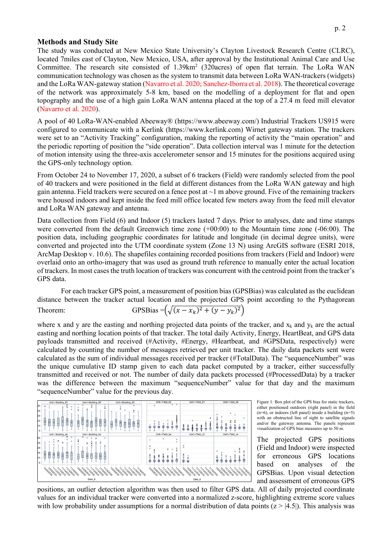#### **Methods and Study Site**

The study was conducted at New Mexico State University's Clayton Livestock Research Centre (CLRC), located 7miles east of Clayton, New Mexico, USA, after approval by the Institutional Animal Care and Use Committee. The research site consisted of 1.39km<sup>2</sup> (320acres) of open flat terrain. The LoRa WAN communication technology was chosen as the system to transmit data between LoRa WAN-trackers (widgets) and the LoRa WAN-gateway station (Navarro et al. 2020; Sanchez-Iborra et al. 2018). The theoretical coverage of the network was approximately 5-8 km, based on the modelling of a deployment for flat and open topography and the use of a high gain LoRa WAN antenna placed at the top of a 27.4 m feed mill elevator (Navarro et al. 2020).

A pool of 40 LoRa-WAN-enabled Abeeway® (https://www.abeeway.com/) Industrial Trackers US915 were configured to communicate with a Kerlink (https://www.kerlink.com) Wirnet gateway station. The trackers were set to an "Activity Tracking" configuration, making the reporting of activity the "main operation" and the periodic reporting of position the "side operation". Data collection interval was 1 minute for the detection of motion intensity using the three-axis accelerometer sensor and 15 minutes for the positions acquired using the GPS-only technology option.

From October 24 to November 17, 2020, a subset of 6 trackers (Field) were randomly selected from the pool of 40 trackers and were positioned in the field at different distances from the LoRa WAN gateway and high gain antenna. Field trackers were secured on a fence post at  $\sim$ 1 m above ground. Five of the remaining trackers were housed indoors and kept inside the feed mill office located few meters away from the feed mill elevator and LoRa WAN gateway and antenna.

Data collection from Field (6) and Indoor (5) trackers lasted 7 days. Prior to analyses, date and time stamps were converted from the default Greenwich time zone  $(+00:00)$  to the Mountain time zone  $(-06:00)$ . The position data, including geographic coordinates for latitude and longitude (in decimal degree units), were converted and projected into the UTM coordinate system (Zone 13 N) using ArcGIS software (ESRI 2018, ArcMap Desktop v. 10.6). The shapefiles containing recorded positions from trackers (Field and Indoor) were overlaid onto an ortho-imagery that was used as ground truth reference to manually enter the actual location of trackers. In most cases the truth location of trackers was concurrent with the centroid point from the tracker's GPS data.

For each tracker GPS point, a measurement of position bias (GPSBias) was calculated as the euclidean distance between the tracker actual location and the projected GPS point according to the Pythagorean Theorem: GPSBias =  $(\sqrt{(x - x_k)^2 + (y - y_k)^2})$ 

where x and y are the easting and northing projected data points of the tracker, and  $x_k$  and  $y_k$  are the actual easting and northing location points of that tracker. The total daily Activity, Energy, HeartBeat, and GPS data payloads transmitted and received (#Activity, #Energy, #Heartbeat, and #GPSData, respectively) were calculated by counting the number of messages retrieved per unit tracker. The daily data packets sent were calculated as the sum of individual messages received per tracker (#TotalData). The "sequenceNumber" was the unique cumulative ID stamp given to each data packet computed by a tracker, either successfully transmitted and received or not. The number of daily data packets processed (#ProcessedData) by a tracker was the difference between the maximum "sequenceNumber" value for that day and the maximum "sequenceNumber" value for the previous day.



Figure 1: Box plot of the GPS bias for static trackers, either positioned outdoors (right panel) in the field (n=6), or indoors (left panel) inside a building (n=5) with an obstructed line of sight to satellite signals and/or the gateway antenna. The panels represent visualization of GPS bias measures up to 50 m.

The projected GPS positions (Field and Indoor) were inspected for erroneous GPS locations based on analyses of the GPSBias. Upon visual detection and assessment of erroneous GPS

positions, an outlier detection algorithm was then used to filter GPS data. All of daily projected coordinate values for an individual tracker were converted into a normalized z-score, highlighting extreme score values with low probability under assumptions for a normal distribution of data points  $(z > |4.5|)$ . This analysis was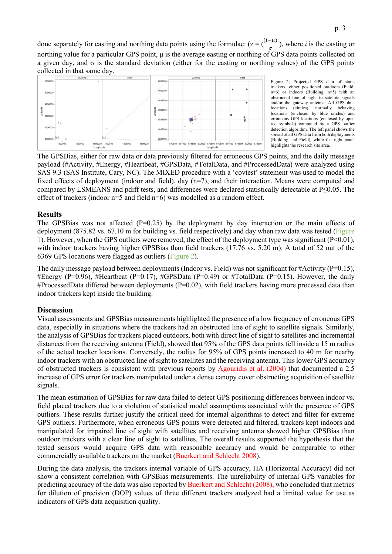done separately for easting and northing data points using the formulae:  $(z = (\frac{(t-\mu)}{\sigma})$ , where *i* is the easting or northing value for a particular GPS point, μ is the average easting or northing of GPS data points collected on a given day, and  $\sigma$  is the standard deviation (either for the easting or northing values) of the GPS points collected in that same day.



Figure 2; Projected GPS data of static trackers, either positioned outdoors (Field; n=6) or indoors (Building; n=5) with an obstructed line of sight to satellite signals and/or the gateway antenna. All GPS data<br>locations (circles), normally behaving locations (circles), normally<br>locations (enclosed by blue ci (enclosed by blue circles) and erroneous GPS locations (enclosed by open red symbols) computed by a GPS outlier detection algorithm. The left panel shows the spread of all GPS data from both deployments (Building and Field), while the right panel highlights the research site area.

The GPSBias, either for raw data or data previously filtered for erroneous GPS points, and the daily message payload (#Activity, #Energy, #Heartbeat, #GPSData, #TotalData, and #ProcessedData) were analyzed using SAS 9.3 (SAS Institute, Cary, NC). The MIXED procedure with a 'covtest' statement was used to model the fixed effects of deployment (indoor and field), day (n=7), and their interaction. Means were computed and compared by LSMEANS and pdiff tests, and differences were declared statistically detectable at P≤0.05. The effect of trackers (indoor n=5 and field n=6) was modelled as a random effect.

#### **Results**

The GPSBias was not affected  $(P=0.25)$  by the deployment by day interaction or the main effects of deployment (875.82 vs. 67.10 m for building vs. field respectively) and day when raw data was tested (Figure 1). However, when the GPS outliers were removed, the effect of the deployment type was significant (P<0.01), with indoor trackers having higher GPSBias than field trackers (17.76 vs. 5.20 m). A total of 52 out of the 6369 GPS locations were flagged as outliers (Figure 2).

The daily message payload between deployments (Indoor vs. Field) was not significant for #Activity ( $P=0.15$ ), #Energy (P=0.96), #Heartbeat (P=0.17), #GPSData (P=0.49) or #TotalData (P=0.15). However, the daily #ProcessedData differed between deployments ( $P=0.02$ ), with field trackers having more processed data than indoor trackers kept inside the building.

#### **Discussion**

Visual assessments and GPSBias measurements highlighted the presence of a low frequency of erroneous GPS data, especially in situations where the trackers had an obstructed line of sight to satellite signals. Similarly, the analysis of GPSBias for trackers placed outdoors, both with direct line of sight to satellites and incremental distances from the receiving antenna (Field), showed that 95% of the GPS data points fell inside a 15 m radius of the actual tracker locations. Conversely, the radius for 95% of GPS points increased to 40 m for nearby indoor trackers with an obstructed line of sight to satellites and the receiving antenna. Thislower GPS accuracy of obstructed trackers is consistent with previous reports by Agouridis et al. (2004) that documented a 2.5 increase of GPS error for trackers manipulated under a dense canopy cover obstructing acquisition of satellite signals.

The mean estimation of GPSBias for raw data failed to detect GPS positioning differences between indoor vs. field placed trackers due to a violation of statistical model assumptions associated with the presence of GPS outliers. These results further justify the critical need for internal algorithms to detect and filter for extreme GPS outliers. Furthermore, when erroneous GPS points were detected and filtered, trackers kept indoors and manipulated for impaired line of sight with satellites and receiving antenna showed higher GPSBias than outdoor trackers with a clear line of sight to satellites. The overall results supported the hypothesis that the tested sensors would acquire GPS data with reasonable accuracy and would be comparable to other commercially available trackers on the market (Buerkert and Schlecht 2008).

During the data analysis, the trackers internal variable of GPS accuracy, HA (Horizontal Accuracy) did not show a consistent correlation with GPSBias measurements. The unreliability of internal GPS variables for predicting accuracy of the data was also reported by Buerkert and Schlecht (2008), who concluded that metrics for dilution of precision (DOP) values of three different trackers analyzed had a limited value for use as indicators of GPS data acquisition quality.